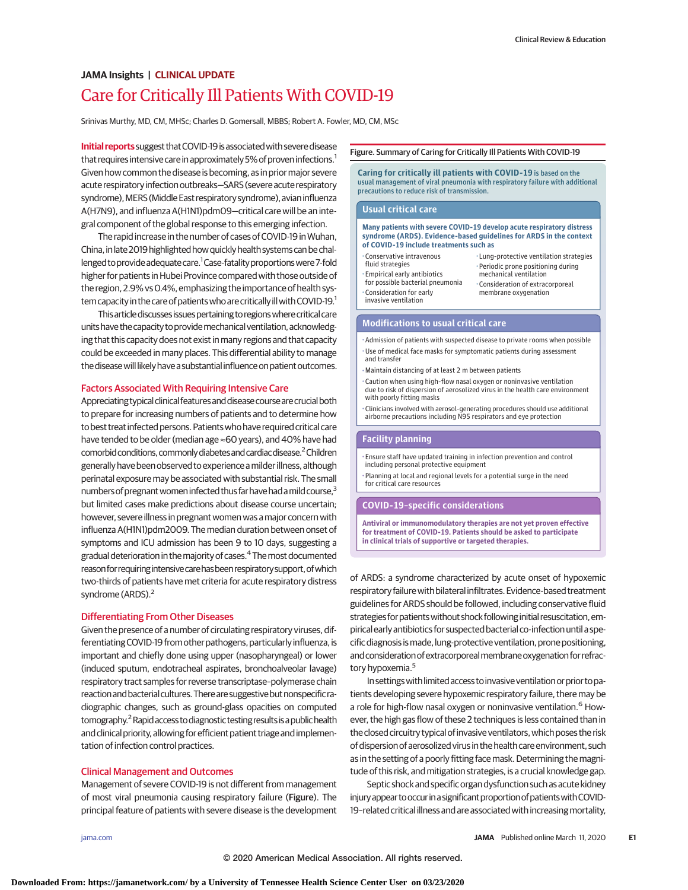# Care for Critically Ill Patients With COVID-19 **JAMA Insights | CLINICAL UPDATE**

Srinivas Murthy, MD, CM, MHSc; Charles D. Gomersall, MBBS; Robert A. Fowler, MD, CM, MSc

**Initial reports** suggest that COVID-19 is associated with severe disease that requires intensive care in approximately 5% of proven infections.<sup>1</sup> Given how common the disease is becoming, as in prior major severe acute respiratory infection outbreaks-SARS (severe acute respiratory syndrome), MERS (Middle East respiratory syndrome), avian influenza A(H7N9), and influenza A(H1N1)pdm09—critical care will be an integral component of the global response to this emerging infection.

The rapid increase in the number of cases of COVID-19 inWuhan, China, in late 2019 highlighted how quickly health systems can be challenged to provide adequate care.<sup>1</sup> Case-fatality proportions were 7-fold higher for patients in Hubei Province compared with those outside of the region, 2.9% vs0.4%, emphasizing the importance of health system capacity in the care of patients who are critically ill with COVID-19.<sup>1</sup>

This article discusses issues pertaining to regions where critical care units have the capacity to provide mechanical ventilation, acknowledging that this capacity does not exist in many regions and that capacity could be exceeded in many places. This differential ability to manage the disease will likely have a substantial influence on patient outcomes.

# Factors Associated With Requiring Intensive Care

Appreciating typical clinical features and disease course are crucial both to prepare for increasing numbers of patients and to determine how to best treat infected persons. Patientswho have required critical care have tended to be older (median age ≈60 years), and 40% have had comorbid conditions, commonly diabetes and cardiac disease.<sup>2</sup> Children generally have been observed toexperienceamilder illness,although perinatal exposure may be associated with substantial risk. The small numbers of pregnant women infected thus far have had a mild course, $3$ but limited cases make predictions about disease course uncertain; however, severe illness in pregnant women was amajor concern with influenza A(H1N1)pdm2009. The median duration between onset of symptoms and ICU admission has been 9 to 10 days, suggesting a gradual deterioration in themajority of cases.4 Themost documented reason for requiring intensive care has been respiratory support, of which two-thirds of patients have met criteria for acute respiratory distress syndrome (ARDS).<sup>2</sup>

## Differentiating From Other Diseases

Given the presence of a number of circulating respiratory viruses, differentiating COVID-19 from other pathogens, particularly influenza, is important and chiefly done using upper (nasopharyngeal) or lower (induced sputum, endotracheal aspirates, bronchoalveolar lavage) respiratory tract samples for reverse transcriptase–polymerase chain reaction and bacterial cultures. There are suggestive but nonspecific radiographic changes, such as ground-glass opacities on computed tomography.<sup>2</sup> Rapid access to diagnostic testing results is a public health and clinical priority, allowing for efficient patient triage and implementation of infection control practices.

# Clinical Management and Outcomes

Management of severe COVID-19 is not different from management of most viral pneumonia causing respiratory failure (Figure). The principal feature of patients with severe disease is the development

#### Figure. Summary of Caring for Critically Ill Patients With COVID-19

**Caring for critically ill patients with COVID-19** is based on the usual management of viral pneumonia with respiratory failure with additional precautions to reduce risk of transmission.

#### **Usual critical care**

#### **Many patients with severe COVID-19 develop acute respiratory distress syndrome (ARDS). Evidence-based guidelines for ARDS in the context of COVID-19 include treatments such as**

- •Conservative intravenous fluid strategies
- Empirical early antibiotics for possible bacterial pneumonia • Consideration for early invasive ventilation
- Lung-protective ventilation strategies • Periodic prone positioning during mechanical ventilation • Consideration of extracorporeal membrane oxygenation

### **Modifications to usual critical care**

- Admission of patients with suspected disease to private rooms when possible • Use of medical face masks for symptomatic patients during assessment and transfer
- Maintain distancing of at least 2 m between patients
- Caution when using high-flow nasal oxygen or noninvasive ventilation due to risk of dispersion of aerosolized virus in the health care environment with poorly fitting masks
- Clinicians involved with aerosol-generating procedures should use additional airborne precautions including N95 respirators and eye protection

# **Facility planning**

- Ensure staff have updated training in infection prevention and control including personal protective equipment
- Planning at local and regional levels for a potential surge in the need for critical care resources

## **COVID-19–specific considerations**

**Antiviral or immunomodulatory therapies are not yet proven effective for treatment of COVID-19. Patients should be asked to participate in clinical trials of supportive or targeted therapies.**

of ARDS: a syndrome characterized by acute onset of hypoxemic respiratory failure with bilateral infiltrates. Evidence-based treatment guidelines for ARDS should be followed, including conservative fluid strategies for patients without shock following initial resuscitation, empirical early antibiotics for suspected bacterial co-infection until a specific diagnosis is made, lung-protective ventilation, prone positioning, and consideration of extracorporeal membrane oxygenation for refractory hypoxemia.<sup>5</sup>

In settings with limited access to invasive ventilation or prior to patients developing severe hypoxemic respiratory failure, there may be a role for high-flow nasal oxygen or noninvasive ventilation.<sup>6</sup> However, the high gas flow of these 2 techniques is less contained than in the closed circuitry typical of invasive ventilators, which poses the risk of dispersion of aerosolized virus in the health care environment, such as in the setting of a poorly fitting face mask. Determining the magnitude of this risk, and mitigation strategies, is a crucial knowledge gap.

Septic shock and specific organ dysfunction such as acute kidney injury appear to occur in a significant proportion of patients with COVID-19-related critical illness and are associated with increasing mortality,